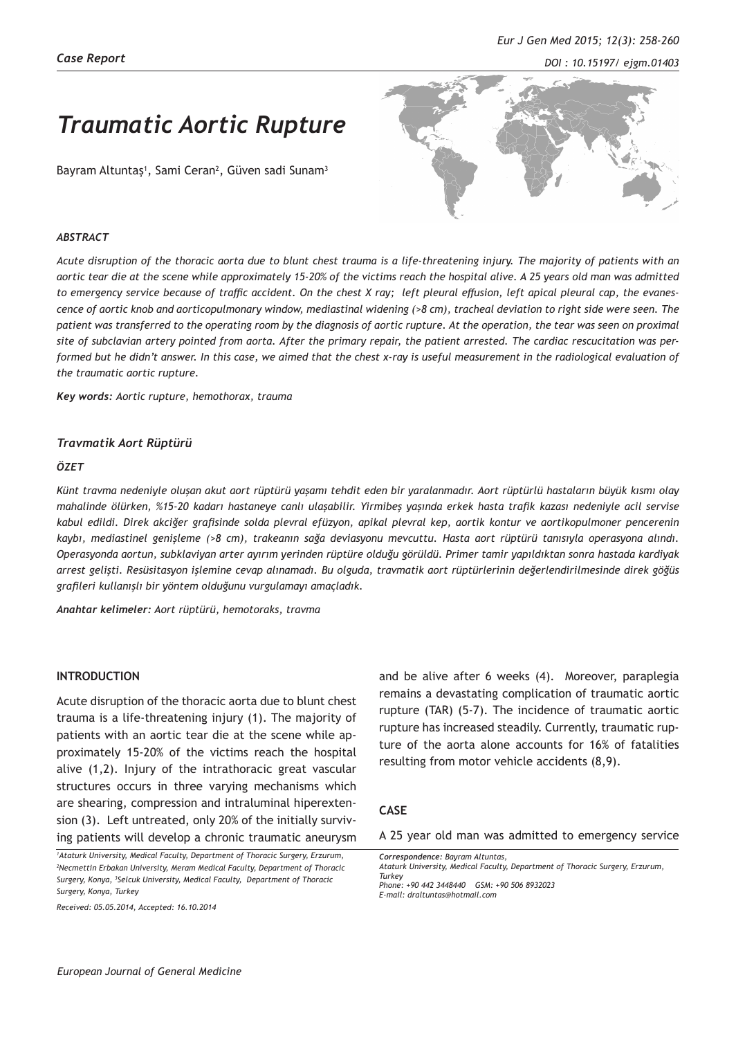# *Traumatic Aortic Rupture*

Bayram Altuntaş<sup>1</sup>, Sami Ceran<sup>2</sup>, Güven sadi Sunam<sup>3</sup>



#### *ABSTRACT*

*Acute disruption of the thoracic aorta due to blunt chest trauma is a life-threatening injury. The majority of patients with an aortic tear die at the scene while approximately 15-20% of the victims reach the hospital alive. A 25 years old man was admitted to emergency service because of traffic accident. On the chest X ray; left pleural effusion, left apical pleural cap, the evanescence of aortic knob and aorticopulmonary window, mediastinal widening (>8 cm), tracheal deviation to right side were seen. The patient was transferred to the operating room by the diagnosis of aortic rupture. At the operation, the tear was seen on proximal site of subclavian artery pointed from aorta. After the primary repair, the patient arrested. The cardiac rescucitation was performed but he didn't answer. In this case, we aimed that the chest x-ray is useful measurement in the radiological evaluation of the traumatic aortic rupture.*

*Key words: Aortic rupture, hemothorax, trauma*

### *Travmatik Aort Rüptürü*

#### *ÖZET*

*Künt travma nedeniyle oluşan akut aort rüptürü yaşamı tehdit eden bir yaralanmadır. Aort rüptürlü hastaların büyük kısmı olay mahalinde ölürken, %15-20 kadarı hastaneye canlı ulaşabilir. Yirmibeş yaşında erkek hasta trafik kazası nedeniyle acil servise kabul edildi. Direk akciğer grafisinde solda plevral efüzyon, apikal plevral kep, aortik kontur ve aortikopulmoner pencerenin kaybı, mediastinel genişleme (>8 cm), trakeanın sağa deviasyonu mevcuttu. Hasta aort rüptürü tanısıyla operasyona alındı. Operasyonda aortun, subklaviyan arter ayırım yerinden rüptüre olduğu görüldü. Primer tamir yapıldıktan sonra hastada kardiyak arrest gelişti. Resüsitasyon işlemine cevap alınamadı. Bu olguda, travmatik aort rüptürlerinin değerlendirilmesinde direk göğüs grafileri kullanışlı bir yöntem olduğunu vurgulamayı amaçladık.* 

*Anahtar kelimeler: Aort rüptürü, hemotoraks, travma*

## **INTRODUCTION**

Acute disruption of the thoracic aorta due to blunt chest trauma is a life-threatening injury (1). The majority of patients with an aortic tear die at the scene while approximately 15-20% of the victims reach the hospital alive (1,2). Injury of the intrathoracic great vascular structures occurs in three varying mechanisms which are shearing, compression and intraluminal hiperextension (3). Left untreated, only 20% of the initially surviving patients will develop a chronic traumatic aneurysm

*1 Ataturk University, Medical Faculty, Department of Thoracic Surgery, Erzurum, 2 Necmettin Erbakan University, Meram Medical Faculty, Department of Thoracic Surgery, Konya, <sup>3</sup> Selcuk University, Medical Faculty, Department of Thoracic Surgery, Konya, Turkey*

*Received: 05.05.2014, Accepted: 16.10.2014*

and be alive after 6 weeks (4). Moreover, paraplegia remains a devastating complication of traumatic aortic rupture (TAR) (5-7). The incidence of traumatic aortic rupture has increased steadily. Currently, traumatic rupture of the aorta alone accounts for 16% of fatalities resulting from motor vehicle accidents (8,9).

## **CASE**

A 25 year old man was admitted to emergency service

*Correspondence: Bayram Altuntas, Ataturk University, Medical Faculty, Department of Thoracic Surgery, Erzurum, Turkey Phone: +90 442 3448440 GSM: +90 506 8932023 E-mail: draltuntas@hotmail.com*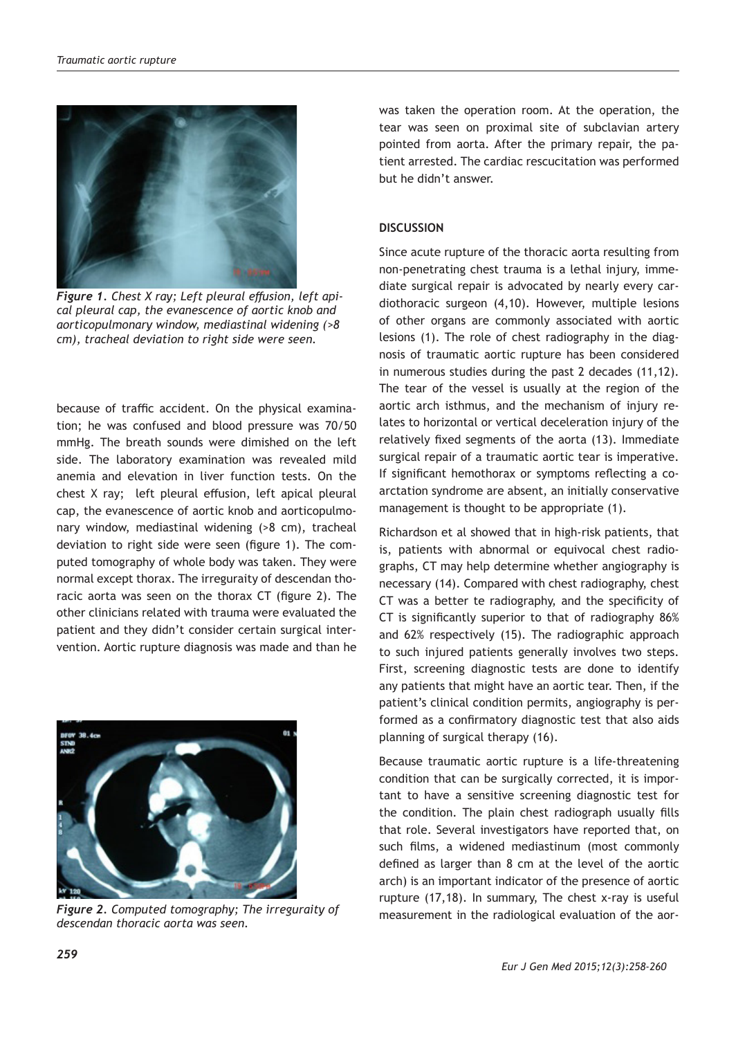

*Figure 1. Chest X ray; Left pleural effusion, left apical pleural cap, the evanescence of aortic knob and aorticopulmonary window, mediastinal widening (>8 cm), tracheal deviation to right side were seen.*

because of traffic accident. On the physical examination; he was confused and blood pressure was 70/50 mmHg. The breath sounds were dimished on the left side. The laboratory examination was revealed mild anemia and elevation in liver function tests. On the chest X ray; left pleural effusion, left apical pleural cap, the evanescence of aortic knob and aorticopulmonary window, mediastinal widening (>8 cm), tracheal deviation to right side were seen (figure 1). The computed tomography of whole body was taken. They were normal except thorax. The irreguraity of descendan thoracic aorta was seen on the thorax CT (figure 2). The other clinicians related with trauma were evaluated the patient and they didn't consider certain surgical intervention. Aortic rupture diagnosis was made and than he



*Figure 2. Computed tomography; The irreguraity of descendan thoracic aorta was seen.*

was taken the operation room. At the operation, the tear was seen on proximal site of subclavian artery pointed from aorta. After the primary repair, the patient arrested. The cardiac rescucitation was performed but he didn't answer.

## **DISCUSSION**

Since acute rupture of the thoracic aorta resulting from non-penetrating chest trauma is a lethal injury, immediate surgical repair is advocated by nearly every cardiothoracic surgeon (4,10). However, multiple lesions of other organs are commonly associated with aortic lesions (1). The role of chest radiography in the diagnosis of traumatic aortic rupture has been considered in numerous studies during the past 2 decades (11,12). The tear of the vessel is usually at the region of the aortic arch isthmus, and the mechanism of injury relates to horizontal or vertical deceleration injury of the relatively fixed segments of the aorta (13). Immediate surgical repair of a traumatic aortic tear is imperative. If significant hemothorax or symptoms reflecting a coarctation syndrome are absent, an initially conservative management is thought to be appropriate (1).

Richardson et al showed that in high-risk patients, that is, patients with abnormal or equivocal chest radiographs, CT may help determine whether angiography is necessary (14). Compared with chest radiography, chest CT was a better te radiography, and the specificity of CT is significantly superior to that of radiography 86% and 62% respectively (15). The radiographic approach to such injured patients generally involves two steps. First, screening diagnostic tests are done to identify any patients that might have an aortic tear. Then, if the patient's clinical condition permits, angiography is performed as a confirmatory diagnostic test that also aids planning of surgical therapy (16).

Because traumatic aortic rupture is a life-threatening condition that can be surgically corrected, it is important to have a sensitive screening diagnostic test for the condition. The plain chest radiograph usually fills that role. Several investigators have reported that, on such films, a widened mediastinum (most commonly defined as larger than 8 cm at the level of the aortic arch) is an important indicator of the presence of aortic rupture (17,18). In summary, The chest x-ray is useful measurement in the radiological evaluation of the aor